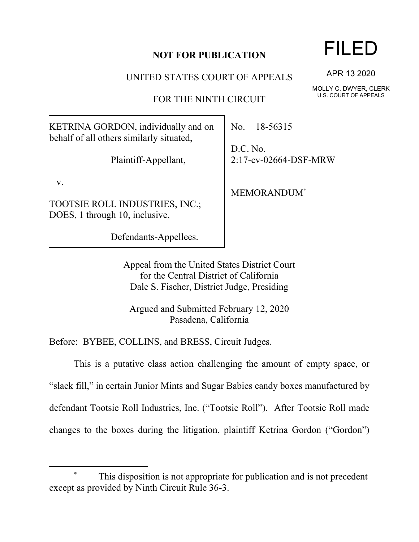## **NOT FOR PUBLICATION**

UNITED STATES COURT OF APPEALS

FOR THE NINTH CIRCUIT

KETRINA GORDON, individually and on behalf of all others similarly situated,

Plaintiff-Appellant,

v.

TOOTSIE ROLL INDUSTRIES, INC.; DOES, 1 through 10, inclusive,

Defendants-Appellees.

No. 18-56315

D.C. No. 2:17-cv-02664-DSF-MRW

MEMORANDUM\*

Appeal from the United States District Court for the Central District of California Dale S. Fischer, District Judge, Presiding

Argued and Submitted February 12, 2020 Pasadena, California

Before: BYBEE, COLLINS, and BRESS, Circuit Judges.

This is a putative class action challenging the amount of empty space, or "slack fill," in certain Junior Mints and Sugar Babies candy boxes manufactured by defendant Tootsie Roll Industries, Inc. ("Tootsie Roll"). After Tootsie Roll made changes to the boxes during the litigation, plaintiff Ketrina Gordon ("Gordon")

## FILED

APR 13 2020

MOLLY C. DWYER, CLERK U.S. COURT OF APPEALS

This disposition is not appropriate for publication and is not precedent except as provided by Ninth Circuit Rule 36-3.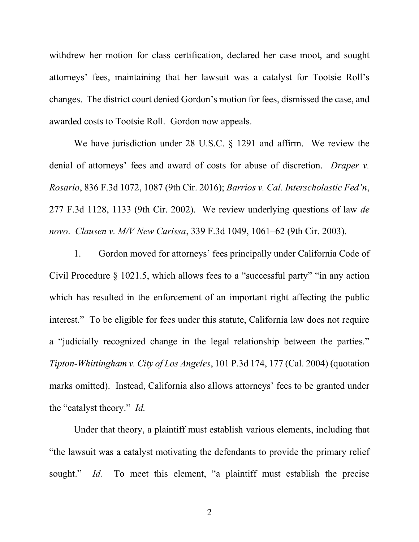withdrew her motion for class certification, declared her case moot, and sought attorneys' fees, maintaining that her lawsuit was a catalyst for Tootsie Roll's changes. The district court denied Gordon's motion for fees, dismissed the case, and awarded costs to Tootsie Roll. Gordon now appeals.

We have jurisdiction under 28 U.S.C. § 1291 and affirm. We review the denial of attorneys' fees and award of costs for abuse of discretion. *Draper v. Rosario*, 836 F.3d 1072, 1087 (9th Cir. 2016); *Barrios v. Cal. Interscholastic Fed'n*, 277 F.3d 1128, 1133 (9th Cir. 2002). We review underlying questions of law *de novo*. *Clausen v. M/V New Carissa*, 339 F.3d 1049, 1061–62 (9th Cir. 2003).

1. Gordon moved for attorneys' fees principally under California Code of Civil Procedure § 1021.5, which allows fees to a "successful party" "in any action which has resulted in the enforcement of an important right affecting the public interest." To be eligible for fees under this statute, California law does not require a "judicially recognized change in the legal relationship between the parties." *Tipton-Whittingham v. City of Los Angeles*, 101 P.3d 174, 177 (Cal. 2004) (quotation marks omitted). Instead, California also allows attorneys' fees to be granted under the "catalyst theory." *Id.* 

Under that theory, a plaintiff must establish various elements, including that "the lawsuit was a catalyst motivating the defendants to provide the primary relief sought." *Id.* To meet this element, "a plaintiff must establish the precise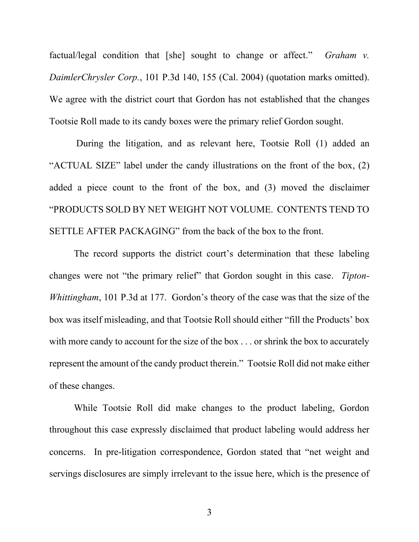factual/legal condition that [she] sought to change or affect." *Graham v. DaimlerChrysler Corp.*, 101 P.3d 140, 155 (Cal. 2004) (quotation marks omitted). We agree with the district court that Gordon has not established that the changes Tootsie Roll made to its candy boxes were the primary relief Gordon sought.

During the litigation, and as relevant here, Tootsie Roll (1) added an "ACTUAL SIZE" label under the candy illustrations on the front of the box, (2) added a piece count to the front of the box, and (3) moved the disclaimer "PRODUCTS SOLD BY NET WEIGHT NOT VOLUME. CONTENTS TEND TO SETTLE AFTER PACKAGING" from the back of the box to the front.

The record supports the district court's determination that these labeling changes were not "the primary relief" that Gordon sought in this case. *Tipton-Whittingham*, 101 P.3d at 177. Gordon's theory of the case was that the size of the box was itself misleading, and that Tootsie Roll should either "fill the Products' box with more candy to account for the size of the box . . . or shrink the box to accurately represent the amount of the candy product therein." Tootsie Roll did not make either of these changes.

While Tootsie Roll did make changes to the product labeling, Gordon throughout this case expressly disclaimed that product labeling would address her concerns. In pre-litigation correspondence, Gordon stated that "net weight and servings disclosures are simply irrelevant to the issue here, which is the presence of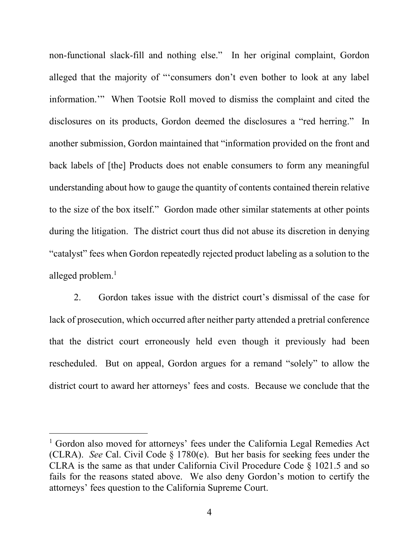non-functional slack-fill and nothing else."In her original complaint, Gordon alleged that the majority of "'consumers don't even bother to look at any label information.'" When Tootsie Roll moved to dismiss the complaint and cited the disclosures on its products, Gordon deemed the disclosures a "red herring." In another submission, Gordon maintained that "information provided on the front and back labels of [the] Products does not enable consumers to form any meaningful understanding about how to gauge the quantity of contents contained therein relative to the size of the box itself." Gordon made other similar statements at other points during the litigation. The district court thus did not abuse its discretion in denying "catalyst" fees when Gordon repeatedly rejected product labeling as a solution to the alleged problem. $<sup>1</sup>$ </sup>

2. Gordon takes issue with the district court's dismissal of the case for lack of prosecution, which occurred after neither party attended a pretrial conference that the district court erroneously held even though it previously had been rescheduled. But on appeal, Gordon argues for a remand "solely" to allow the district court to award her attorneys' fees and costs. Because we conclude that the

<sup>&</sup>lt;sup>1</sup> Gordon also moved for attorneys' fees under the California Legal Remedies Act (CLRA). *See* Cal. Civil Code § 1780(e). But her basis for seeking fees under the CLRA is the same as that under California Civil Procedure Code § 1021.5 and so fails for the reasons stated above. We also deny Gordon's motion to certify the attorneys' fees question to the California Supreme Court.